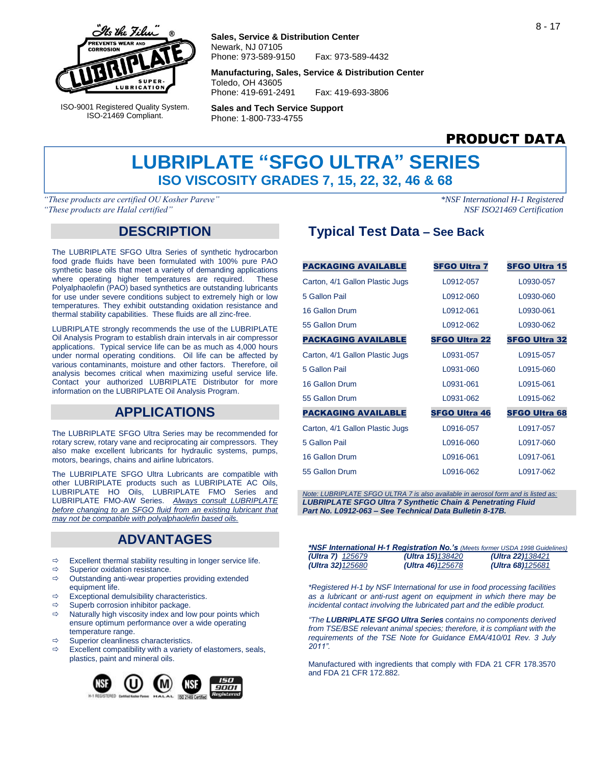

ISO-9001 Registered Quality System. ISO-21469 Compliant.

#### **Sales, Service & Distribution Center** Newark, NJ 07105 Phone: 973-589-9150 Fax: 973-589-4432

**Manufacturing, Sales, Service & Distribution Center** Toledo, OH 43605 Phone: 419-691-2491 Fax: 419-693-3806

**Sales and Tech Service Support** Phone: 1-800-733-4755

# PRODUCT DATA

# **LUBRIPLATE "SFGO ULTRA" SERIES ISO VISCOSITY GRADES 7, 15, 22, 32, 46 & 68**

*"These products are certified OU Kosher Pareve" \*NSF International H-1 Registered "These products are Halal certified" NSF ISO21469 Certification*

## **DESCRIPTION**

The LUBRIPLATE SFGO Ultra Series of synthetic hydrocarbon food grade fluids have been formulated with 100% pure PAO synthetic base oils that meet a variety of demanding applications where operating higher temperatures are required. These Polyalphaolefin (PAO) based synthetics are outstanding lubricants for use under severe conditions subject to extremely high or low temperatures. They exhibit outstanding oxidation resistance and thermal stability capabilities. These fluids are all zinc-free.

LUBRIPLATE strongly recommends the use of the LUBRIPLATE Oil Analysis Program to establish drain intervals in air compressor applications. Typical service life can be as much as 4,000 hours under normal operating conditions. Oil life can be affected by various contaminants, moisture and other factors. Therefore, oil analysis becomes critical when maximizing useful service life. Contact your authorized LUBRIPLATE Distributor for more information on the LUBRIPLATE Oil Analysis Program.

## **APPLICATIONS**

The LUBRIPLATE SFGO Ultra Series may be recommended for rotary screw, rotary vane and reciprocating air compressors. They also make excellent lubricants for hydraulic systems, pumps, motors, bearings, chains and airline lubricators.

The LUBRIPLATE SFGO Ultra Lubricants are compatible with other LUBRIPLATE products such as LUBRIPLATE AC Oils, LUBRIPLATE HO Oils, LUBRIPLATE FMO Series and LUBRIPLATE FMO-AW Series. *Always consult LUBRIPLATE before changing to an SFGO fluid from an existing lubricant that may not be compatible with polyalphaolefin based oils.*

## **ADVANTAGES**

- $\Rightarrow$  Excellent thermal stability resulting in longer service life.
- $\Rightarrow$  Superior oxidation resistance.<br> $\Rightarrow$  Outstanding anti-wear propert
- Outstanding anti-wear properties providing extended equipment life.
- $\Rightarrow$  Exceptional demulsibility characteristics.
- $\Rightarrow$  Superb corrosion inhibitor package.
- $\Rightarrow$  Naturally high viscosity index and low pour points which ensure optimum performance over a wide operating temperature range.
- $\Rightarrow$  Superior cleanliness characteristics.
- $\Rightarrow$  Excellent compatibility with a variety of elastomers, seals, plastics, paint and mineral oils.



# **Typical Test Data – See Back**

| <b>PACKAGING AVAILABLE</b>      | <b>SFGO Ultra 7</b>  | <b>SFGO Ultra 15</b> |
|---------------------------------|----------------------|----------------------|
| Carton, 4/1 Gallon Plastic Jugs | L0912-057            | L0930-057            |
| 5 Gallon Pail                   | L0912-060            | L0930-060            |
| 16 Gallon Drum                  | L0912-061            | L0930-061            |
| 55 Gallon Drum                  | L0912-062            | L0930-062            |
| <b>PACKAGING AVAILABLE</b>      | <b>SFGO Ultra 22</b> | <b>SFGO Ultra 32</b> |
| Carton, 4/1 Gallon Plastic Jugs | L0931-057            | L0915-057            |
| 5 Gallon Pail                   | L0931-060            | L0915-060            |
| 16 Gallon Drum                  | L0931-061            | L0915-061            |
| 55 Gallon Drum                  | L0931-062            | L0915-062            |
| <b>PACKAGING AVAILABLE</b>      | <b>SFGO Ultra 46</b> | <b>SFGO Ultra 68</b> |
| Carton, 4/1 Gallon Plastic Jugs | L0916-057            | L0917-057            |
| 5 Gallon Pail                   | L0916-060            | L0917-060            |
| 16 Gallon Drum                  | L0916-061            | L0917-061            |
| 55 Gallon Drum                  | L0916-062            | L0917-062            |

*Note: LUBRIPLATE SFGO ULTRA 7 is also available in aerosol form and is listed as: LUBRIPLATE SFGO Ultra 7 Synthetic Chain & Penetrating Fluid Part No. L0912-063 – See Technical Data Bulletin 8-17B.*

|                          |                          | *NSF International H-1 Registration No.'s (Meets former USDA 1998 Guidelines) |
|--------------------------|--------------------------|-------------------------------------------------------------------------------|
| (Ultra 7) $125679$       | <b>(Ultra 15)</b> 138420 | (Ultra 22) $138421$                                                           |
| <b>(Ultra 32)</b> 125680 | <b>(Ultra 46)</b> 125678 | $(U$ Itra 68)125681                                                           |

*\*Registered H-1 by NSF International for use in food processing facilities as a lubricant or anti-rust agent on equipment in which there may be incidental contact involving the lubricated part and the edible product.*

*"The LUBRIPLATE SFGO Ultra Series contains no components derived from TSE/BSE relevant animal species; therefore, it is compliant with the requirements of the TSE Note for Guidance EMA/410/01 Rev. 3 July 2011".*

Manufactured with ingredients that comply with FDA 21 CFR 178.3570 and FDA 21 CFR 172.882.